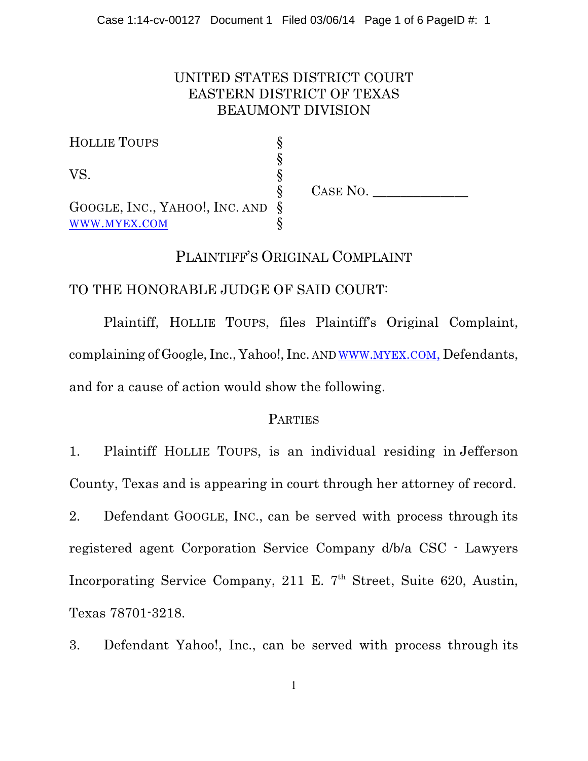# UNITED STATES DISTRICT COURT EASTERN DISTRICT OF TEXAS BEAUMONT DIVISION

| <b>HOLLIE TOUPS</b>                 |          |
|-------------------------------------|----------|
|                                     |          |
| VS.                                 |          |
|                                     | CASE NO. |
| GOOGLE, INC., YAHOO!, INC. AND $\S$ |          |
| WWW.MYEX.COM                        |          |

# PLAINTIFF'S ORIGINAL COMPLAINT

# TO THE HONORABLE JUDGE OF SAID COURT:

Plaintiff, HOLLIE TOUPS, files Plaintiff's Original Complaint, complaining of Google, Inc., Yahoo!, Inc. AND WWW.[MYEX](http://www.myex.com,).COM, Defendants, and for a cause of action would show the following.

### **PARTIES**

1. Plaintiff HOLLIE TOUPS, is an individual residing in Jefferson County, Texas and is appearing in court through her attorney of record.

2. Defendant GOOGLE, INC., can be served with process through its registered agent Corporation Service Company d/b/a CSC - Lawyers Incorporating Service Company, 211 E.  $7<sup>th</sup>$  Street, Suite 620, Austin, Texas 78701-3218.

3. Defendant Yahoo!, Inc., can be served with process through its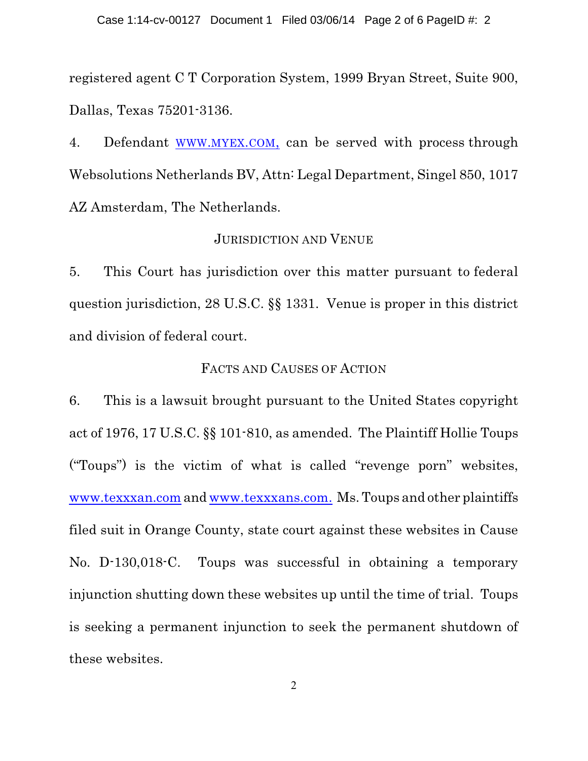registered agent C T Corporation System, 1999 Bryan Street, Suite 900, Dallas, Texas 75201-3136.

4. Defendant WWW.[MYEX](http://www.myex.com,).COM, can be served with process through Websolutions Netherlands BV, Attn: Legal Department, Singel 850, 1017 AZ Amsterdam, The Netherlands.

#### JURISDICTION AND VENUE

5. This Court has jurisdiction over this matter pursuant to federal question jurisdiction, 28 U.S.C. §§ 1331. Venue is proper in this district and division of federal court.

#### FACTS AND CAUSES OF ACTION

6. This is a lawsuit brought pursuant to the United States copyright act of 1976, 17 U.S.C. §§ 101-810, as amended. The Plaintiff Hollie Toups ("Toups") is the victim of what is called "revenge porn" websites, [www.texxxan.com](http://www.texxxan.com) and [www.texxxans.com.](http://www.texxxans.com.) Ms. Toups and other plaintiffs filed suit in Orange County, state court against these websites in Cause No. D-130,018-C. Toups was successful in obtaining a temporary injunction shutting down these websites up until the time of trial. Toups is seeking a permanent injunction to seek the permanent shutdown of these websites.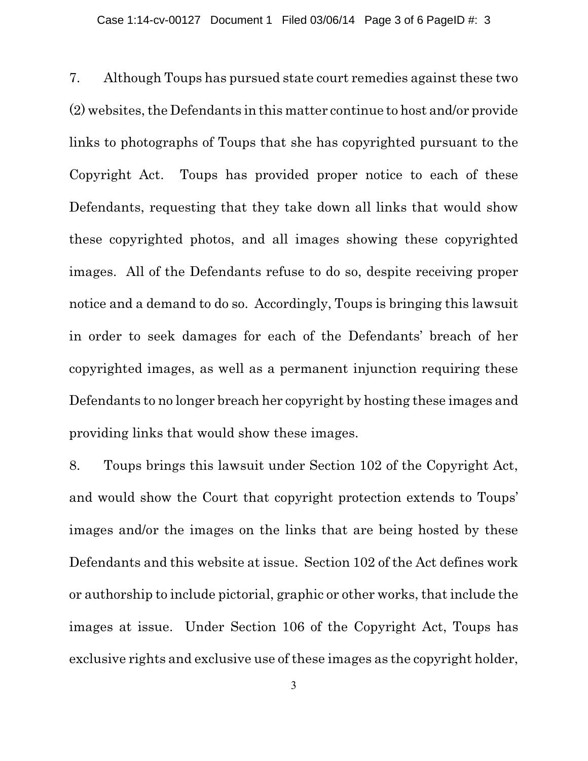7. Although Toups has pursued state court remedies against these two  $(2)$  websites, the Defendants in this matter continue to host and/or provide links to photographs of Toups that she has copyrighted pursuant to the Copyright Act. Toups has provided proper notice to each of these Defendants, requesting that they take down all links that would show these copyrighted photos, and all images showing these copyrighted images. All of the Defendants refuse to do so, despite receiving proper notice and a demand to do so. Accordingly, Toups is bringing this lawsuit in order to seek damages for each of the Defendants' breach of her copyrighted images, as well as a permanent injunction requiring these Defendants to no longer breach her copyright by hosting these images and providing links that would show these images.

8. Toups brings this lawsuit under Section 102 of the Copyright Act, and would show the Court that copyright protection extends to Toups' images and/or the images on the links that are being hosted by these Defendants and this website at issue. Section 102 of the Act defines work or authorship to include pictorial, graphic or other works, that include the images at issue. Under Section 106 of the Copyright Act, Toups has exclusive rights and exclusive use of these images as the copyright holder,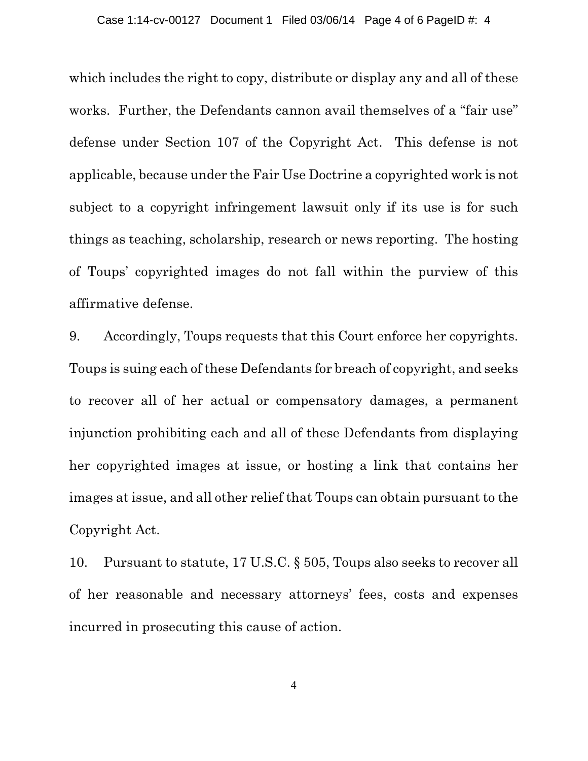which includes the right to copy, distribute or display any and all of these works. Further, the Defendants cannon avail themselves of a "fair use" defense under Section 107 of the Copyright Act. This defense is not applicable, because under the Fair Use Doctrine a copyrighted work is not subject to a copyright infringement lawsuit only if its use is for such things as teaching, scholarship, research or news reporting. The hosting of Toups' copyrighted images do not fall within the purview of this affirmative defense.

9. Accordingly, Toups requests that this Court enforce her copyrights. Toups is suing each of these Defendants for breach of copyright, and seeks to recover all of her actual or compensatory damages, a permanent injunction prohibiting each and all of these Defendants from displaying her copyrighted images at issue, or hosting a link that contains her images at issue, and all other relief that Toups can obtain pursuant to the Copyright Act.

10. Pursuant to statute, 17 U.S.C. § 505, Toups also seeks to recover all of her reasonable and necessary attorneys' fees, costs and expenses incurred in prosecuting this cause of action.

4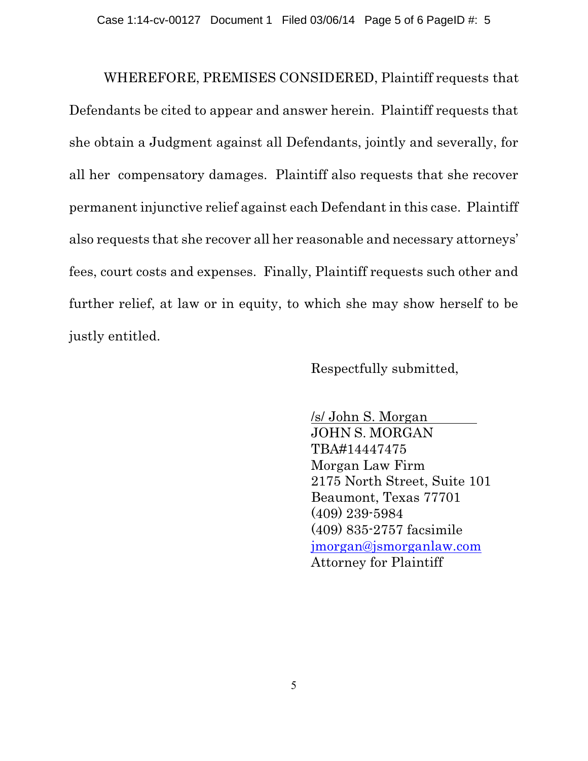WHEREFORE, PREMISES CONSIDERED, Plaintiff requests that Defendants be cited to appear and answer herein. Plaintiff requests that she obtain a Judgment against all Defendants, jointly and severally, for all her compensatory damages. Plaintiff also requests that she recover permanent injunctive relief against each Defendant in this case. Plaintiff also requests that she recover all her reasonable and necessary attorneys' fees, court costs and expenses. Finally, Plaintiff requests such other and further relief, at law or in equity, to which she may show herself to be justly entitled.

Respectfully submitted,

*/s/ John S. Morgan*  JOHN S. MORGAN TBA#14447475 Morgan Law Firm 2175 North Street, Suite 101 Beaumont, Texas 77701 (409) 239-5984 (409) 835-2757 facsimile [jmorgan@jsmorganlaw.com](mailto:jmorgan@jsmorganlaw.com) Attorney for Plaintiff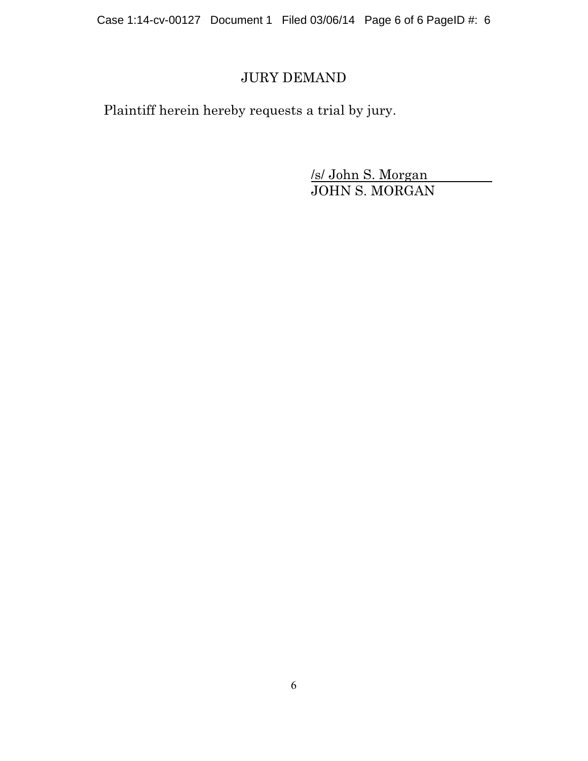Case 1:14-cv-00127 Document 1 Filed 03/06/14 Page 6 of 6 PageID #: 6

# JURY DEMAND

Plaintiff herein hereby requests a trial by jury.

*/s/ John S. Morgan*  JOHN S. MORGAN